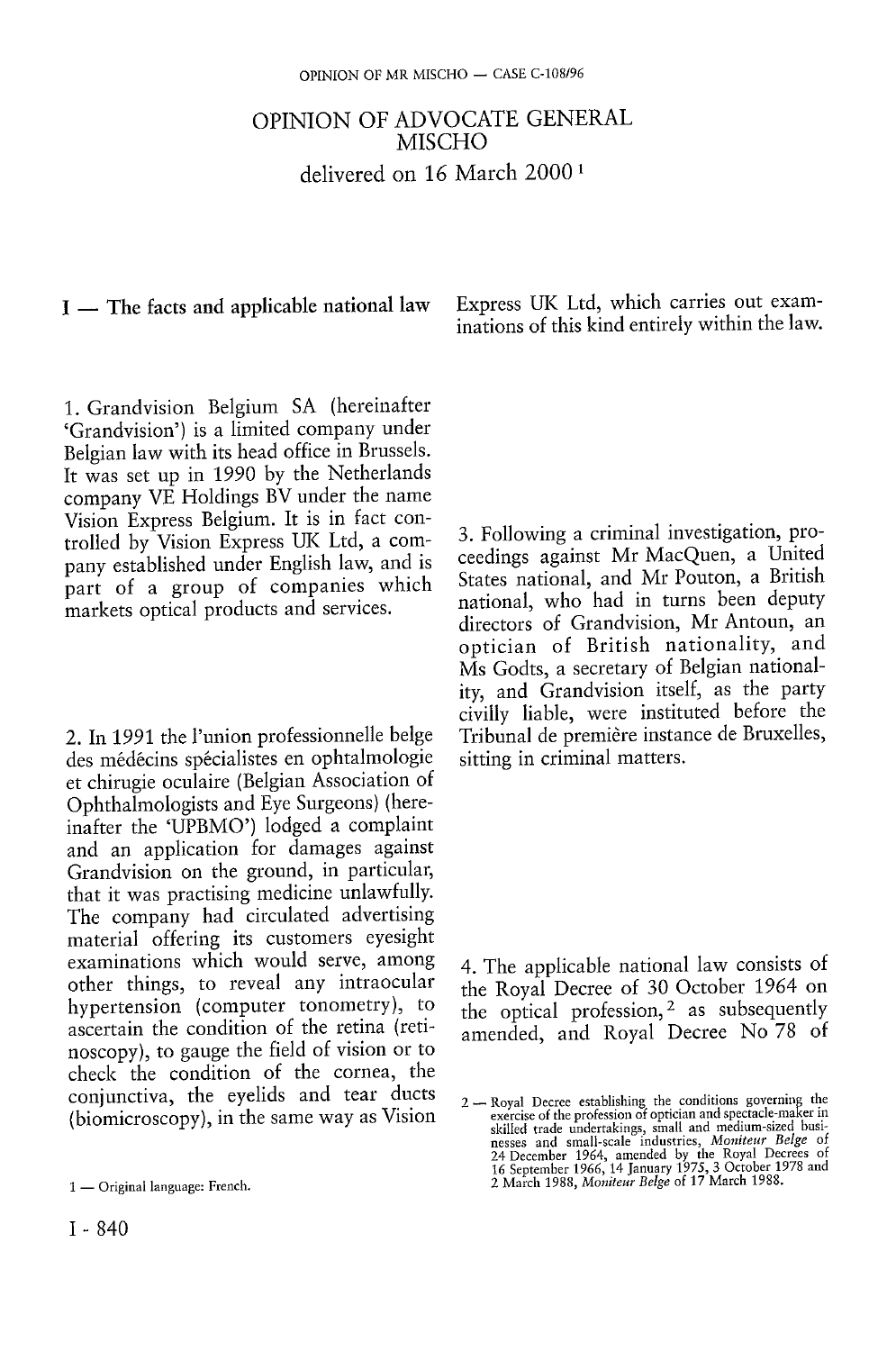# OPINION OF ADVOCATE GENERAL MISCHO delivered on 16 March 2000  *1*

### I — The facts and applicable national law

1. Grandvision Belgium SA (hereinafter 'Grandvision') is a limited company under Belgian law with its head office in Brussels. It was set up in 1990 by the Netherlands company VE Holdings BV under the name Vision Express Belgium. It is in fact controlled by Vision Express UK Ltd, a company established under English law, and is part of a group of companies which markets optical products and services.

2. In 1991 the l'union professionnelle belge des médecins spécialistes en ophtalmologie et chirugie oculaire (Belgian Association of Ophthalmologists and Eye Surgeons) (hereinafter the 'UPBMO') lodged a complaint and an application for damages against Grandvision on the ground, in particular, that it was practising medicine unlawfully. The company had circulated advertising material offering its customers eyesight examinations which would serve, among other things, to reveal any intraocular hypertension (computer tonometry), to ascertain the condition of the retina (retinoscopy), to gauge the field of vision or to check the condition of the cornea, the conjunctiva, the eyelids and tear ducts (biomicroscopy), in the same way as Vision Express UK Ltd, which carries out examinations of this kind entirely within the law.

3. Following a criminal investigation, proceedings against Mr MacQuen, a United States national, and Mr Pouton, a British national, who had in turns been deputy directors of Grandvision, Mr Antoun, an optician of British nationality, and Ms Godts, a secretary of Belgian nationality, and Grandvision itself, as the party civilly liable, were instituted before the Tribunal de premiere instance de Bruxelles, sitting in criminal matters.

4. The applicable national law consists of the Royal Decree of 30 October 1964 on the optical profession,<sup>2</sup> as subsequently amended, and Royal Decree No 78 of

<sup>1 —</sup> Original language: French.

<sup>2 —</sup> Royal Decree establishing the conditions governing the exercise of the profession of optician and spectacle-maker in skilled trade undertakings, small and medium-sized businesses and small-scale industries, *Moniteur Belge* of<br>24 December 1964, amended by the Royal Decrees of<br>16 September 1966, 14 January 1975, 3 October 1978 and<br>16 Sept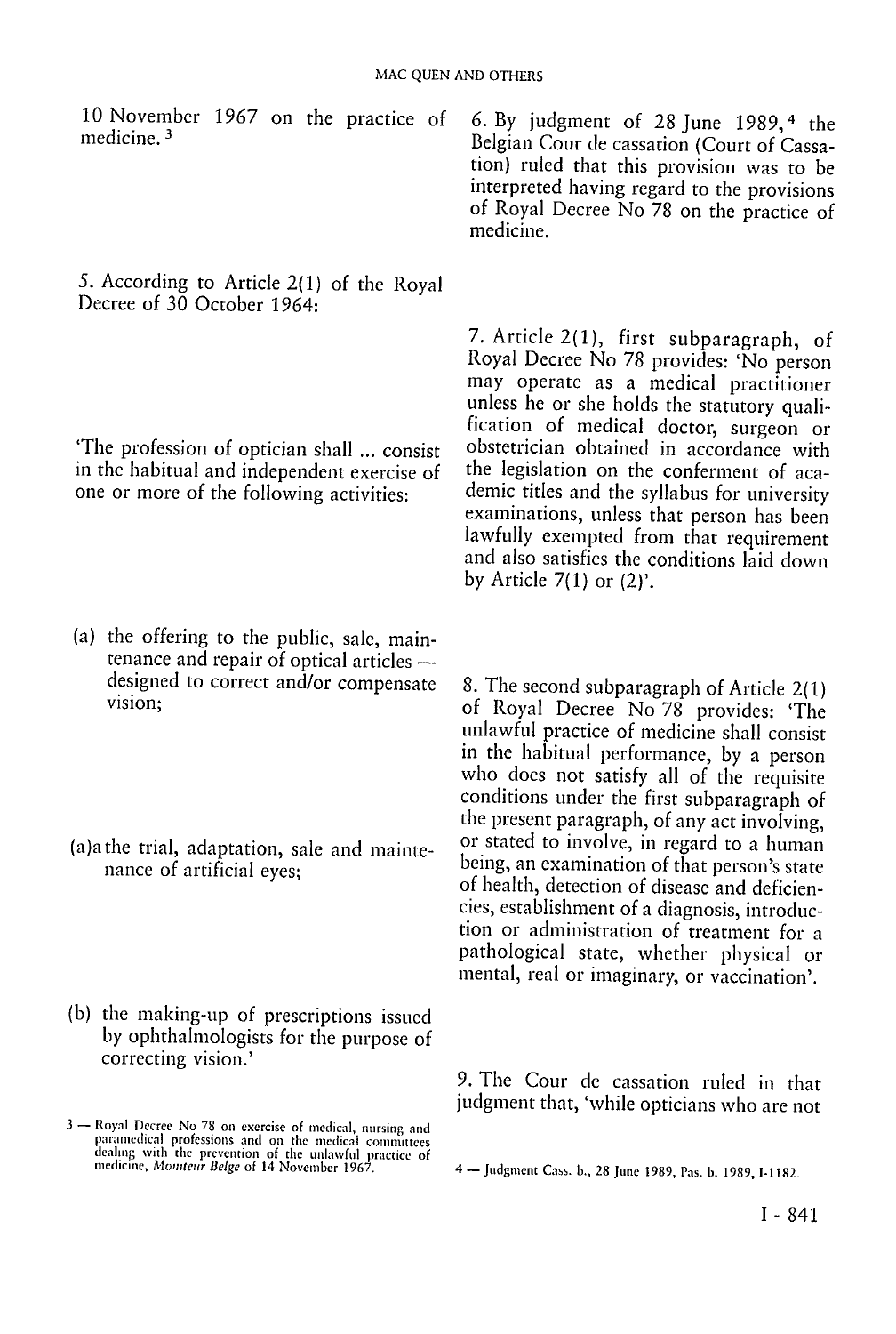10 November 1967 on the practice of medicine. 3

*5.* According to Article 2(1) of the Royal Decree of 30 October 1964:

'The profession of optician shall ... consist in the habitual and independent exercise of one or more of the following activities:

- (a) the offering to the public, sale, maintenance and repair of optical articles designed to correct and/or compensate vision;
- (a)a the trial, adaptation, sale and maintenance of artificial eyes;
- (b) the making-up of prescriptions issued by ophthalmologists for the purpose of correcting vision.'

6. By judgment of 28 June 1989, 4 the Belgian Cour de cassation (Court of Cassation) ruled that this provision was to be interpreted having regard to the provisions of Royal Decree No 78 on the practice of medicine.

7. Article 2(1), first subparagraph, of Royal Decree No 78 provides: 'No person may operate as a medical practitioner unless he or she holds the statutory qualification of medical doctor, surgeon or obstetrician obtained in accordance with the legislation on the conferment of academic titles and the syllabus for university examinations, unless that person has been lawfully exempted from that requirement and also satisfies the conditions laid down by Article 7(1) or (2)'.

8. The second subparagraph of Article 2(1) of Royal Decree No 78 provides: 'The unlawful practice of medicine shall consist in the habitual performance, by a person who does not satisfy all of the requisite conditions under the first subparagraph of the present paragraph, of any act involving, or stated to involve, in regard to a human being, an examination of that person's state of health, detection of disease and deficiencies, establishment of a diagnosis, introduction or administration of treatment for a pathological state, whether physical or mental, real or imaginary, or vaccination'.

9. The Cour de cassation ruled in that judgment that, 'while opticians who are not

<sup>3 —</sup> Royal Decree No 78 on exercise of medical, nursing and paramedical professions and on the medical committees dealing with the prevention of the unlawful practice of

<sup>4 —</sup> Judgment Cass. b., 28 June 1989, Pas. b. 1989, I-1182.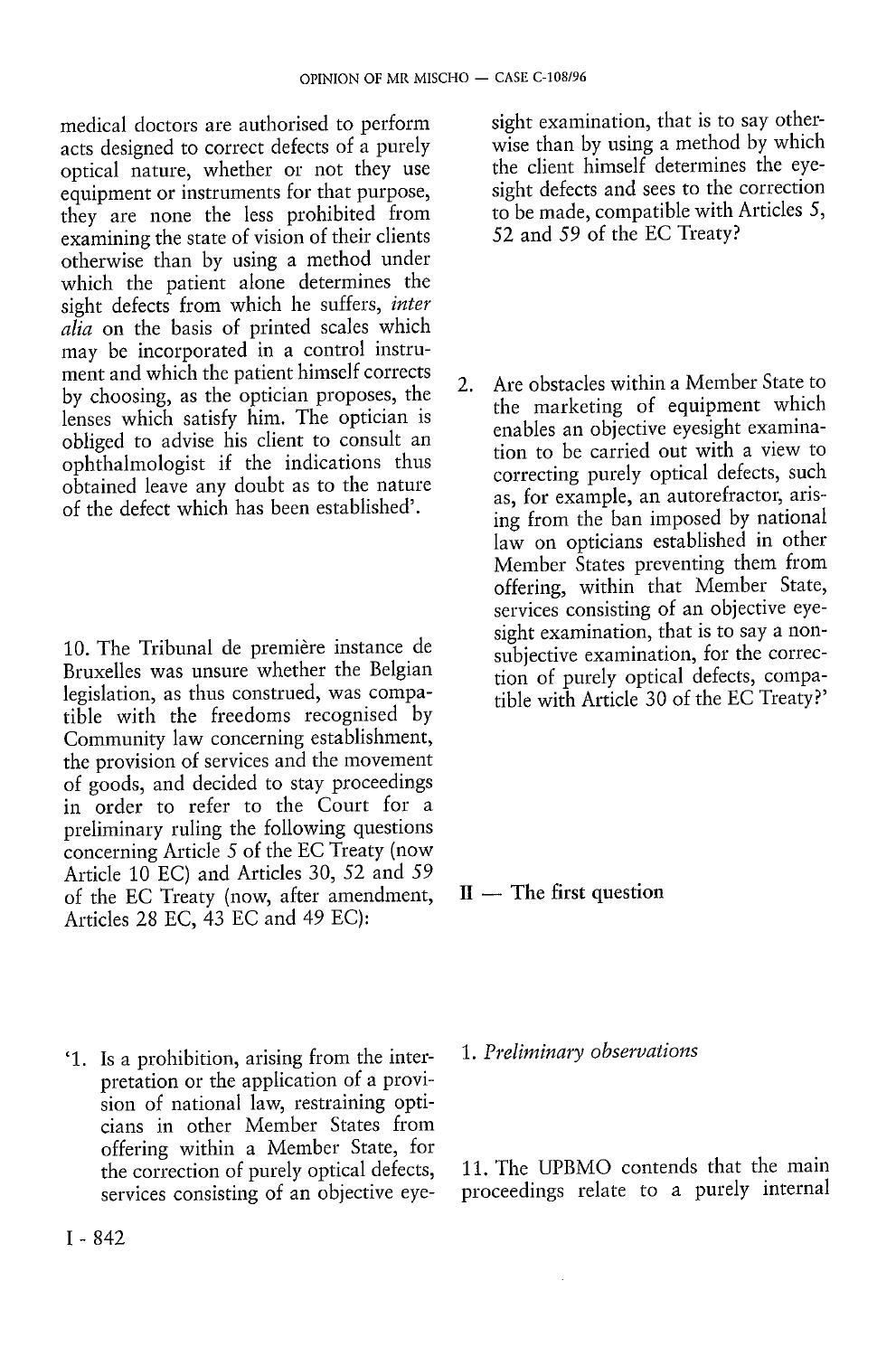medical doctors are authorised to perform acts designed to correct defects of a purely optical nature, whether or not they use equipment or instruments for that purpose, they are none the less prohibited from examining the state of vision of their clients otherwise than by using a method under which the patient alone determines the sight defects from which he suffers, *inter alia* on the basis of printed scales which may be incorporated in a control instrument and which the patient himself corrects by choosing, as the optician proposes, the lenses which satisfy him. The optician is obliged to advise his client to consult an ophthalmologist if the indications thus obtained leave any doubt as to the nature of the defect which has been established'.

10. The Tribunal de première instance de Bruxelles was unsure whether the Belgian legislation, as thus construed, was compatible with the freedoms recognised by Community law concerning establishment, the provision of services and the movement of goods, and decided to stay proceedings in order to refer to the Court for a preliminary ruling the following questions concerning Article 5 of the EC Treaty (now Article 10 EC) and Articles 30, 52 and *59*  of the EC Treaty (now, after amendment, Articles 28 EC, 43 EC and 49 EC):

' 1. Is a prohibition, arising from the interpretation or the application of a provision of national law, restraining opticians in other Member States from offering within a Member State, for the correction of purely optical defects, services consisting of an objective eyesight examination, that is to say otherwise than by using a method by which the client himself determines the eyesight defects and sees to the correction to be made, compatible with Articles 5, 52 and 59 of the EC Treaty?

2. Are obstacles within a Member State to the marketing of equipment which enables an objective eyesight examination to be carried out with a view to correcting purely optical defects, such as, for example, an autorefractor, arising from the ban imposed by national law on opticians established in other Member States preventing them from offering, within that Member State, services consisting of an objective eyesight examination, that is to say a nonsubjective examination, for the correction of purely optical defects, compatible with Article 30 of the EC Treaty?'

 $II$  — The first question

1. *Preliminary observations* 

11. The UPBMO contends that the main proceedings relate to a purely internal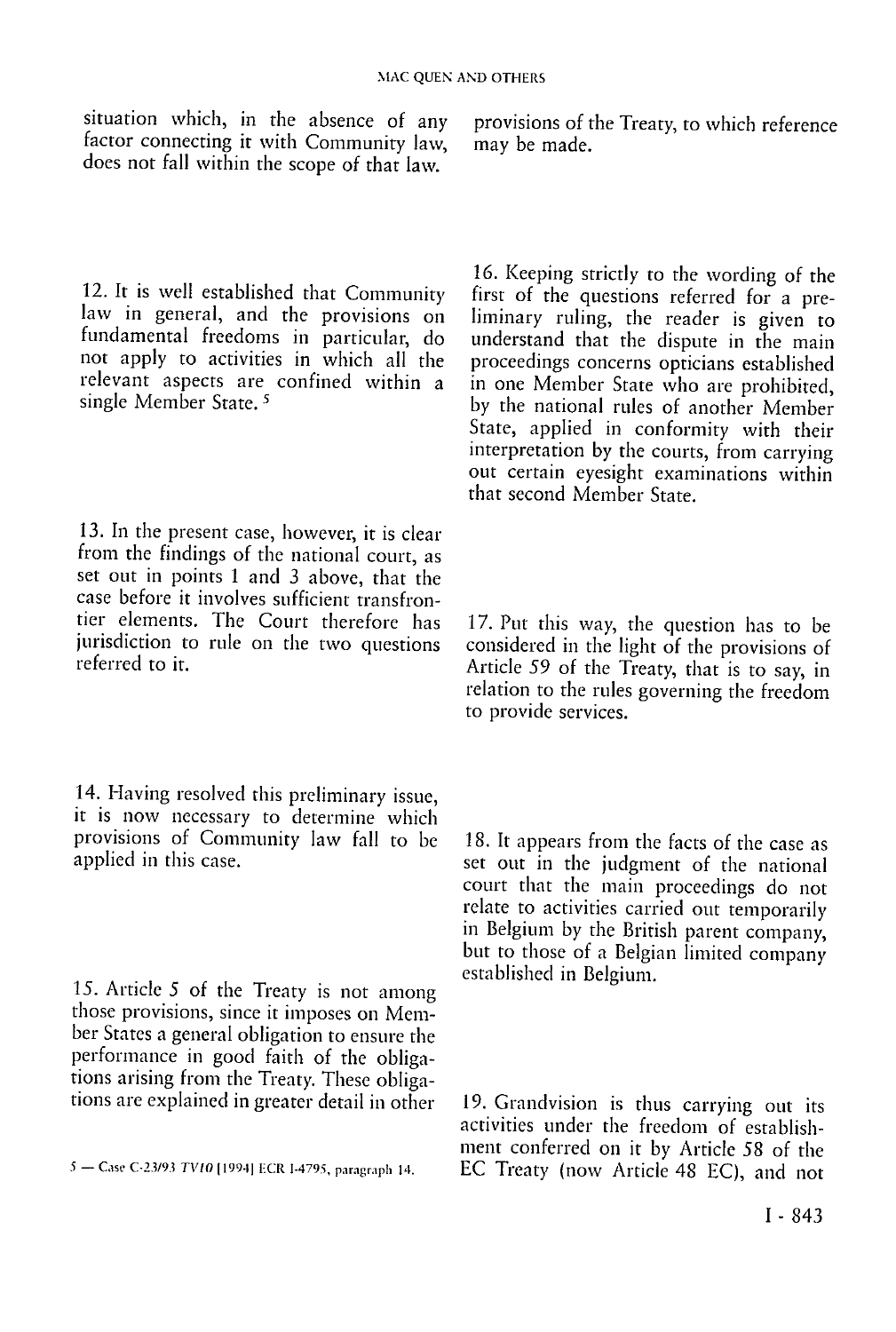situation which, in the absence of any factor connecting it with Community law, does not fall within the scope of that law.

provisions of the Treaty, to which reference may be made.

12. It is well established that Community law in general, and the provisions on fundamental freedoms in particular, do not apply to activities in which all the relevant aspects are confined within a single Member State.<sup>5</sup>

13. In the present case, however, it is clear from the findings of the national court, as set out in points 1 and 3 above, that the case before it involves sufficient transfrontier elements. The Court therefore has jurisdiction to rule on the two questions referred to it.

14. Having resolved this preliminary issue, it is now necessary to determine which provisions of Community law fall to be applied in this case.

15. Article 5 of the Treaty is not among those provisions, since it imposes on Member States a general obligation to ensure the performance in good faith of the obligations arising from the Treaty. These obligations are explained in greater detail in other

16. Keeping strictly to the wording of the first of the questions referred for a preliminary ruling, the reader is given to understand that the dispute in the main proceedings concerns opticians established in one Member State who are prohibited, by the national rules of another Member State, applied in conformity with their interpretation by the courts, from carrying out certain eyesight examinations within that second Member State.

17. Put this way, the question has to be considered in the light of the provisions of Article *59* of the Treaty, that is to say, in relation to the rules governing the freedom to provide services.

18. It appears from the facts of the case as set out in the judgment of the national court that the main proceedings do not relate to activities carried out temporarily in Belgium by the British parent company, but to those of a Belgian limited company established in Belgium.

19. Grandvision is thus carrying out its activities under the freedom of establishment conferred on it by Article 58 of the 5 - Case C-23/93 TV10 [1994] ECR I-4795, paragraph 14. <br> **EC Treaty (now Article 48 EC)**, and not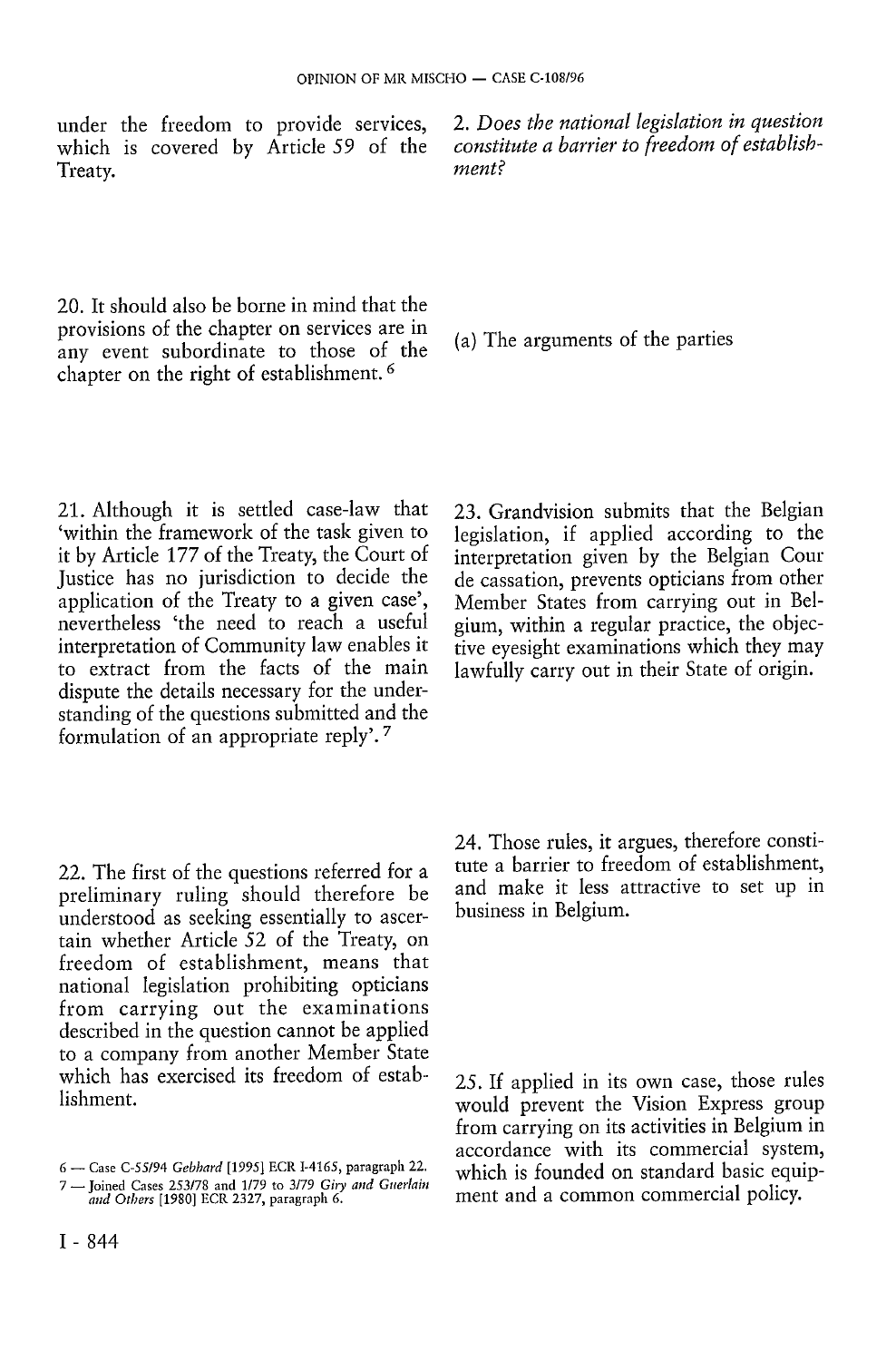under the freedom to provide services, which is covered by Article *59* of the Treaty.

2. *Does the national legislation in question constitute a barrier to freedom of establishment?* 

20. It should also be borne in mind that the provisions of the chapter on services are in any event subordinate to those of the chapter on the right of establishment. 6

21. Although it is settled case-law that 'within the framework of the task given to it by Article 177 of the Treaty, the Court of Justice has no jurisdiction to decide the application of the Treaty to a given case', nevertheless 'the need to reach a useful interpretation of Community law enables it to extract from the facts of the main dispute the details necessary for the understanding of the questions submitted and the formulation of an appropriate reply'. 7

22. The first of the questions referred for a preliminary ruling should therefore be understood as seeking essentially to ascertain whether Article 52 of the Treaty, on freedom of establishment, means that national legislation prohibiting opticians from carrying out the examinations described in the question cannot be applied to a company from another Member State which has exercised its freedom of establishment.

(a) The arguments of the parties

23. Grandvision submits that the Belgian legislation, if applied according to the interpretation given by the Belgian Cour de cassation, prevents opticians from other Member States from carrying out in Belgium, within a regular practice, the objective eyesight examinations which they may lawfully carry out in their State of origin.

24. Those rules, it argues, therefore constitute a barrier to freedom of establishment, and make it less attractive to set up in business in Belgium.

25. If applied in its own case, those rules would prevent the Vision Express group from carrying on its activities in Belgium in accordance with its commercial system, which is founded on standard basic equipment and a common commercial policy.

<sup>6 —</sup> Case C-55/94 *Gebhard* [1995] ECR 1-4165, paragraph 22.

<sup>7 —</sup> Joined Cases 253/78 and 1/79 to 3/79 *Giry and Guerlain mid Others* [1980] ECR 2327, paragraph 6.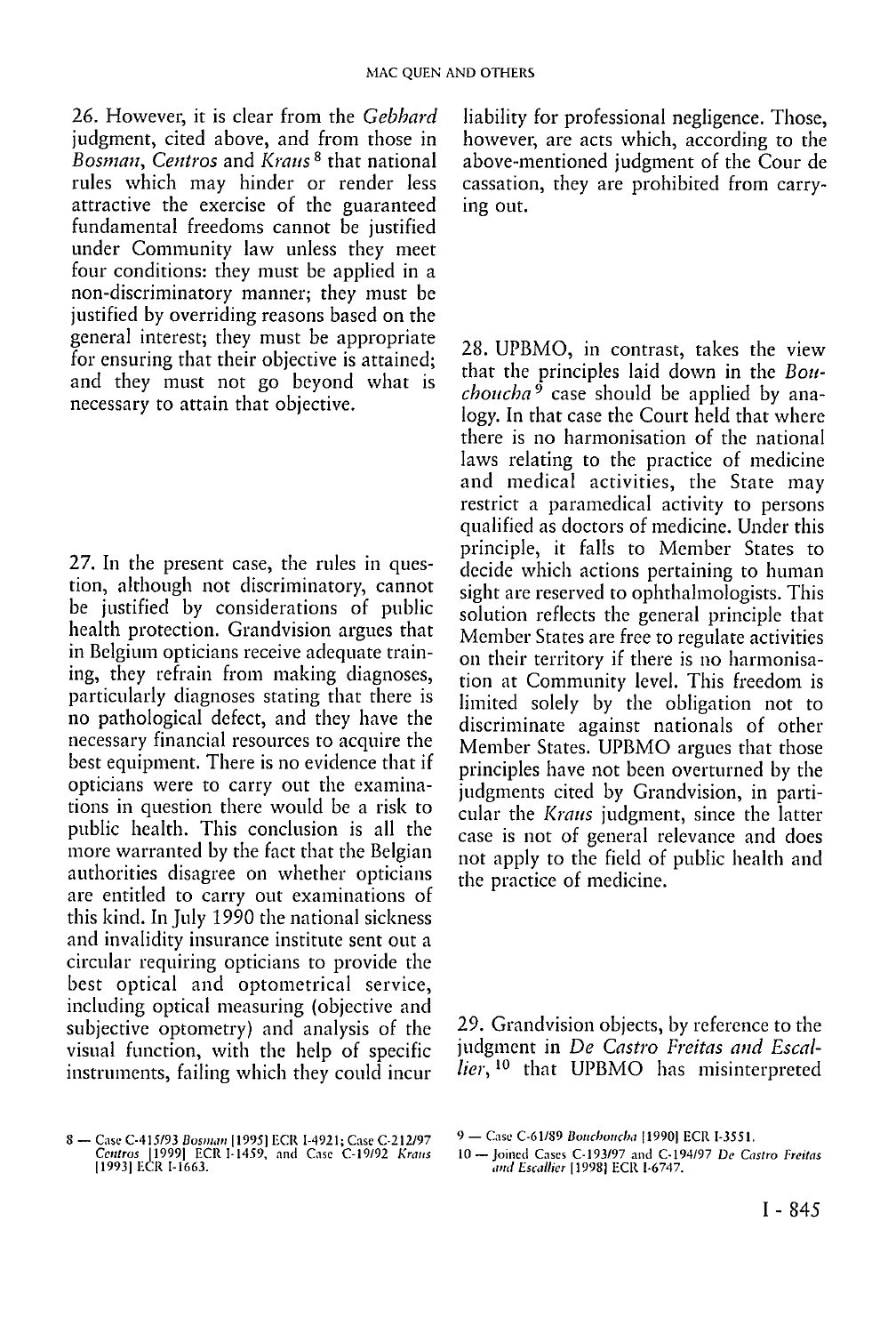26. However, it is clear from the *Gebhard*  judgment, cited above, and from those in *Bosman, Centros* and *Kraus<sup>8</sup>* that national rules which may hinder or render less attractive the exercise of the guaranteed fundamental freedoms cannot be justified under Community law unless they meet four conditions: they must be applied in a non-discriminatory manner; they must be justified by overriding reasons based on the general interest; they must be appropriate for ensuring that their objective is attained; and they must not go beyond what is necessary to attain that objective.

27. In the present case, the rules in question, although not discriminatory, cannot be justified by considerations of public health protection. Grandvision argues that in Belgium opticians receive adequate training, they refrain from making diagnoses, particularly diagnoses stating that there is no pathological defect, and they have the necessary financial resources to acquire the best equipment. There is no evidence that if opticians were to carry out the examinations in question there would be a risk to public health. This conclusion is all the more warranted by the fact that the Belgian authorities disagree on whether opticians are entitled to carry out examinations of this kind. In July 1990 the national sickness and invalidity insurance institute sent out a circular requiring opticians to provide the best optical and optometricai service, including optical measuring (objective and subjective optometry) and analysis of the visual function, with the help of specific instruments, failing which they could incur

liability for professional negligence. Those, however, are acts which, according to the above-mentioned judgment of the Cour de cassation, they are prohibited from carrying out.

28. UPBMO, in contrast, takes the view that the principles laid down in the *Bouchoncha 9* case should be applied by analogy. In that case the Court held that where there is no harmonisation of the national laws relating to the practice of medicine and medical activities, the State may restrict a paramedical activity to persons qualified as doctors of medicine. Under this principle, it falls to Member States to decide which actions pertaining to human sight are reserved to ophthalmologists. This solution reflects the general principle that Member States are free to regulate activities on their territory if there is no harmonisation at Community level. This freedom is limited solely by the obligation not to discriminate against nationals of other Member States. UPBMO argues that those principles have not been overturned by the judgments cited by Grandvision, in particular the *Kraus* judgment, since the latter case is not of general relevance and does not apply to the field of public health and the practice of medicine.

29. Grandvision objects, by reference to the judgment in *De Castro Freitas and Escallier,*<sup>10</sup> that UPBMO has misinterpreted

<sup>8 —</sup> Case C-415/93 *Bosman* [1995] ECR I-4921; Case C-212/97 *Centros* 119991 ECR I-1459, and Case C-19/92 *Kraus*  [1993] ECR 1-1663.

<sup>9 —</sup> Case C-61/89 *Bouchoucha [*1990] ECR I-3551.

<sup>10 —</sup> Joined Cases C-193/97 and C-194/97 *De Castro Freitas and Escallier* [1998] ECR I-6747.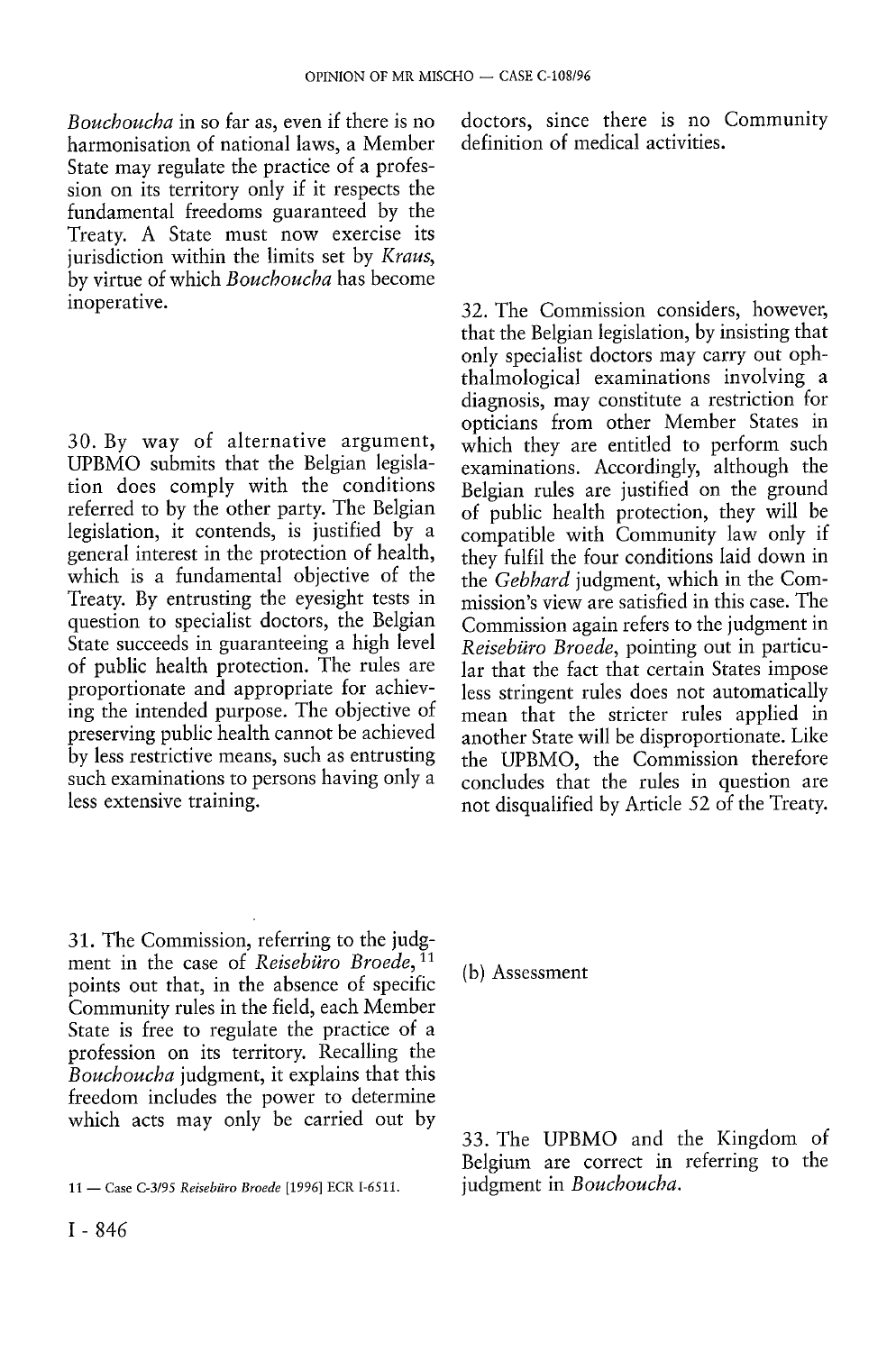*Bouchoucha* in so far as, even if there is no harmonisation of national laws, a Member State may regulate the practice of a profession on its territory only if it respects the fundamental freedoms guaranteed by the Treaty. A State must now exercise its jurisdiction within the limits set by *Kraus,*  by virtue of which *Bouchoucha* has become inoperative.

30. By way of alternative argument, UPBMO submits that the Belgian legislation does comply with the conditions referred to by the other party. The Belgian legislation, it contends, is justified by a general interest in the protection of health, which is a fundamental objective of the Treaty. By entrusting the eyesight tests in question to specialist doctors, the Belgian State succeeds in guaranteeing a high level of public health protection. The rules are proportionate and appropriate for achieving the intended purpose. The objective of preserving public health cannot be achieved by less restrictive means, such as entrusting such examinations to persons having only a less extensive training.

31. The Commission, referring to the judgment in the case of *Reisebüro Broede,*<sup>11</sup> points out that, in the absence of specific Community rules in the field, each Member State is free to regulate the practice of a profession on its territory. Recalling the *Bouchoucha* judgment, it explains that this freedom includes the power to determine which acts may only be carried out by

doctors, since there is no Community definition of medical activities.

32. The Commission considers, however, that the Belgian legislation, by insisting that only specialist doctors may carry out ophthalmological examinations involving a diagnosis, may constitute a restriction for opticians from other Member States in which they are entitled to perform such examinations. Accordingly, although the Belgian rules are justified on the ground of public health protection, they will be compatible with Community law only if they fulfil the four conditions laid down in the *Gebhard* judgment, which in the Commission's view are satisfied in this case. The Commission again refers to the judgment in *Reisebüro Broede,* pointing out in particular that the fact that certain States impose less stringent rules does not automatically mean that the stricter rules applied in another State will be disproportionate. Like the UPBMO, the Commission therefore concludes that the rules in question are not disqualified by Article 52 of the Treaty.

(b) Assessment

33. The UPBMO and the Kingdom of Belgium are correct in referring to the

<sup>11 —</sup> Case C-3/95 *Reisebüro Broede* [1996] ECR 1-6511. judgment in *Bouchoucha.*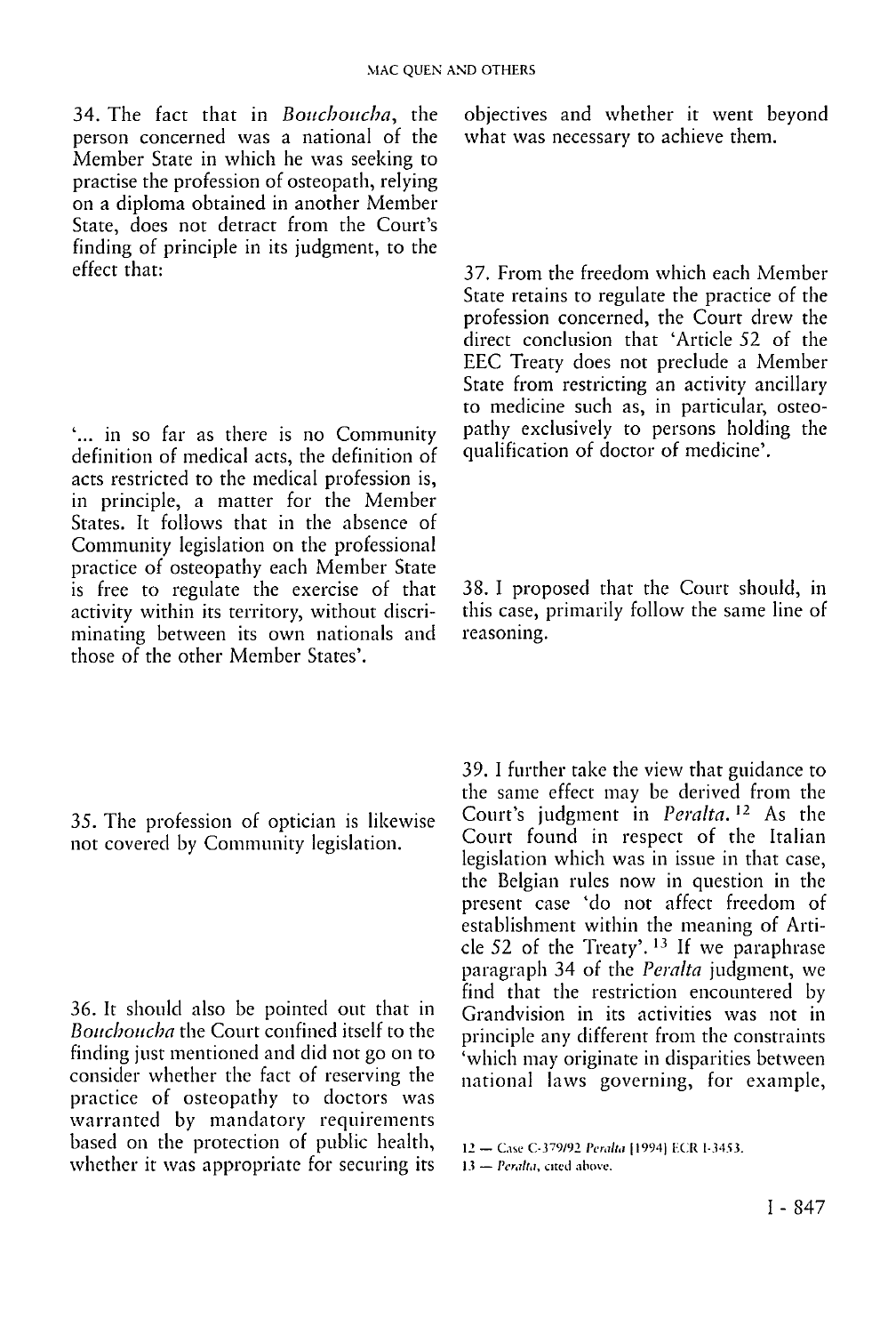34. The fact that in *Boucboucba,* the person concerned was a national of the Member State in which he was seeking to practise the profession of osteopath, relying on a diploma obtained in another Member State, does not detract from the Court's finding of principle in its judgment, to the effect that:

'... in so far as there is no Community definition of medical acts, the definition of acts restricted to the medical profession is, in principle, a matter for the Member States. It follows that in the absence of Community legislation on the professional practice of osteopathy each Member State is free to regulate the exercise of that activity within its territory, without discriminating between its own nationals and those of the other Member States'.

35. The profession of optician is likewise not covered by Community legislation.

36. It should also be pointed out that in *Boitchoucha* the Court confined itself to the finding just mentioned and did not go on to consider whether the fact of reserving the practice of osteopathy to doctors was warranted by mandatory requirements based on the protection of public health, whether it was appropriate for securing its objectives and whether it went beyond what was necessary to achieve them.

37. From the freedom which each Member State retains to regulate the practice of the profession concerned, the Court drew the direct conclusion that 'Article 52 of the EEC Treaty does not preclude a Member State from restricting an activity ancillary to medicine such as, in particular, osteopathy exclusively to persons holding the qualification of doctor of medicine'.

38. I proposed that the Court should, in this case, primarily follow the same line of reasoning.

39. I further take the view that guidance to the same effect may be derived from the Court's judgment in *Peralta.<sup>1</sup>2* As the Court found in respect of the Italian legislation which was in issue in that case, the Belgian rules now in question in the present case 'do not affect freedom of establishment within the meaning of Article 52 of the Treaty'. <sup>13</sup> If we paraphrase paragraph 34 of the *Peralta* judgment, we find that the restriction encountered by Grandvision in its activities was not in principle any different from the constraints 'which may originate in disparities between national laws governing, for example,

<sup>12 -</sup> Case C-379/92 Peralta [1994] ECR I-3453.

<sup>13 —</sup> *Peralta,* cited above.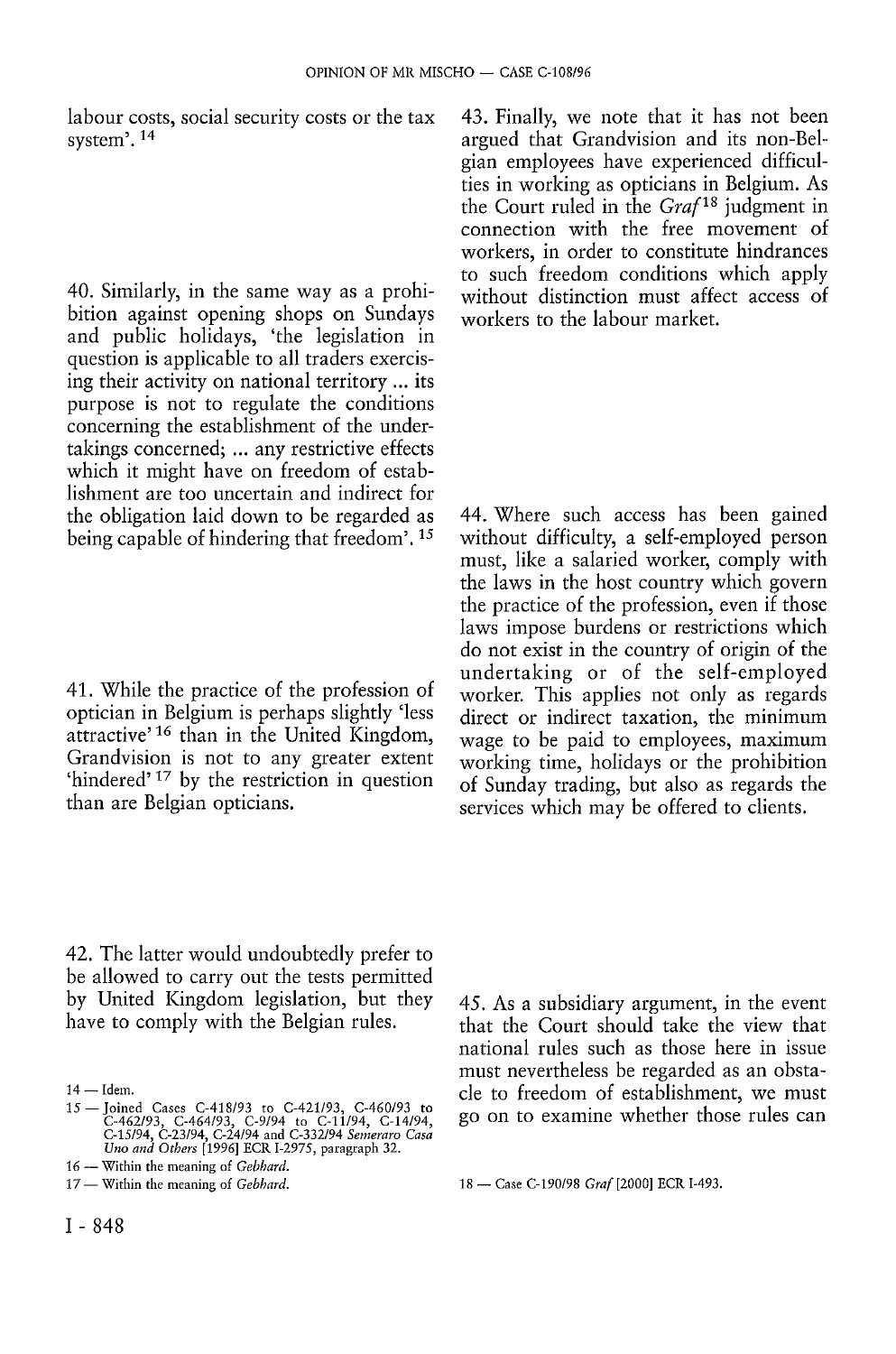labour costs, social security costs or the tax system'. 14

40. Similarly, in the same way as a prohibition against opening shops on Sundays and public holidays, 'the legislation in question is applicable to all traders exercising their activity on national territory ... its purpose is not to regulate the conditions concerning the establishment of the undertakings concerned; ... any restrictive effects which it might have on freedom of establishment are too uncertain and indirect for the obligation laid down to be regarded as being capable of hindering that freedom'. 15

41. While the practice of the profession of optician in Belgium is perhaps slightly 'less attractive' <sup>16</sup> than in the United Kingdom, Grandvision is not to any greater extent 'hindered'<sup>17</sup> by the restriction in question than are Belgian opticians.

42. The latter would undoubtedly prefer to be allowed to carry out the tests permitted by United Kingdom legislation, but they have to comply with the Belgian rules.

43. Finally, we note that it has not been argued that Grandvision and its non-Belgian employees have experienced difficulties in working as opticians in Belgium. As the Court ruled in the *Grafis* judgment in connection with the free movement of workers, in order to constitute hindrances to such freedom conditions which apply without distinction must affect access of workers to the labour market.

44. Where such access has been gained without difficulty, a self-employed person must, like a salaried worker, comply with the laws in the host country which govern the practice of the profession, even if those laws impose burdens or restrictions which do not exist in the country of origin of the undertaking or of the self-employed worker. This applies not only as regards direct or indirect taxation, the minimum wage to be paid to employees, maximum working time, holidays or the prohibition of Sunday trading, but also as regards the services which may be offered to clients.

45. As a subsidiary argument, in the event that the Court should take the view that national rules such as those here in issue must nevertheless be regarded as an obstacle to freedom of establishment, we must go on to examine whether those rules can

<sup>14 —</sup> Idem.

<sup>15 —</sup>Joined Cases C-418/93 to C-421/93, C-460/93 to C-462/93, C-464/93, C-9/94 to C-11/94, C-14/94, C-15/94, C-23/94, C-24/94 and C-332/94 *Seineram Casa Uno and Others* [1996] ECR 1-2975, paragraph 32.

<sup>16 —</sup> Within the meaning of *Gebhard.* 

<sup>17 —</sup> Within the meaning of *Gebhard.* 18 — Case C-190/98 *Graf* [2000] ECR I-493.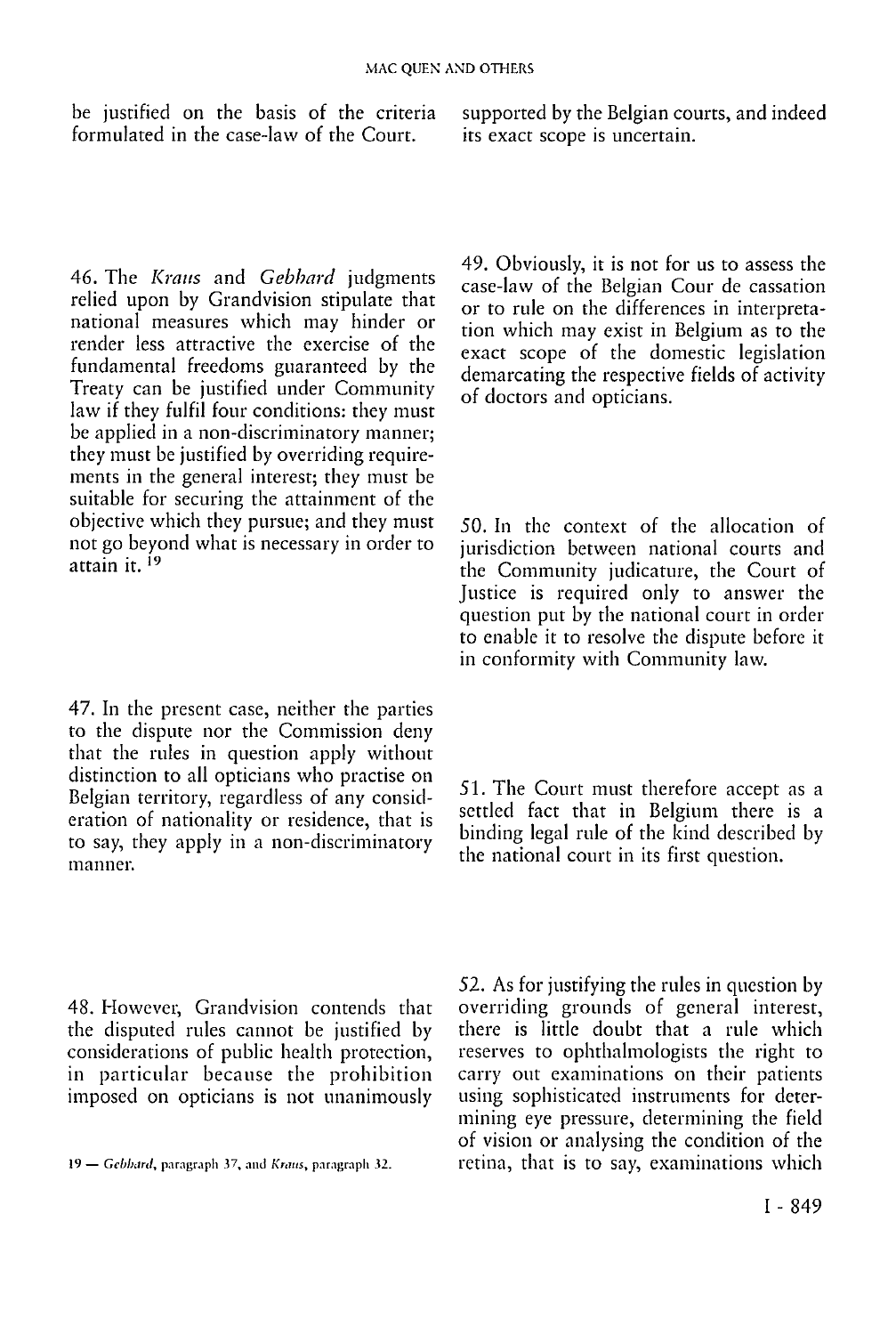be justified on the basis of the criteria formulated in the case-law of the Court.

46. The *Kraus* and *Gebbard* judgments relied upon by Grandvision stipulate that national measures which may hinder or render less attractive the exercise of the fundamental freedoms guaranteed by the Treaty can be justified under Community law if they fulfil four conditions: they must be applied in a non-discriminatory manner; they must be justified by overriding requirements in the general interest; they must be suitable for securing the attainment of the objective which they pursue; and they must not go beyond what is necessary in order to attain it. <sup>i9</sup>

47. In the present case, neither the parties to the dispute nor the Commission deny that the rules in question apply without distinction to all opticians who practise on Belgian territory, regardless of any consideration of nationality or residence, that is to say, they apply in a non-discriminatory manner.

48. However, Grandvision contends that the disputed rules cannot be justified by considerations of public health protection, in particular because the prohibition imposed on opticians is not unanimously

supported by the Belgian courts, and indeed its exact scope is uncertain.

49. Obviously, it is not for us to assess the case-law of the Belgian Cour de cassation or to rule on the differences in interpretation which may exist in Belgium as to the exact scope of the domestic legislation demarcating the respective fields of activity of doctors and opticians.

50. In the context of the allocation of jurisdiction between national courts and the Community judicature, the Court of Justice is required only to answer the question put by the national court in order to enable it to resolve the dispute before it in conformity with Community law.

51. The Court must therefore accept as a settled fact that in Belgium there is a binding legal rule of the kind described by the national court in its first question.

52. As for justifying the rules in question by overriding grounds of general interest, there is little doubt that a rule which reserves to ophthalmologists the right to carry out examinations on their patients using sophisticated instruments for determining eye pressure, determining the field of vision or analysing the condition of the 19 — *Gebhard,* paragraph 37, and *Kraus,* paragraph *te.* retina, that is to say, examinations which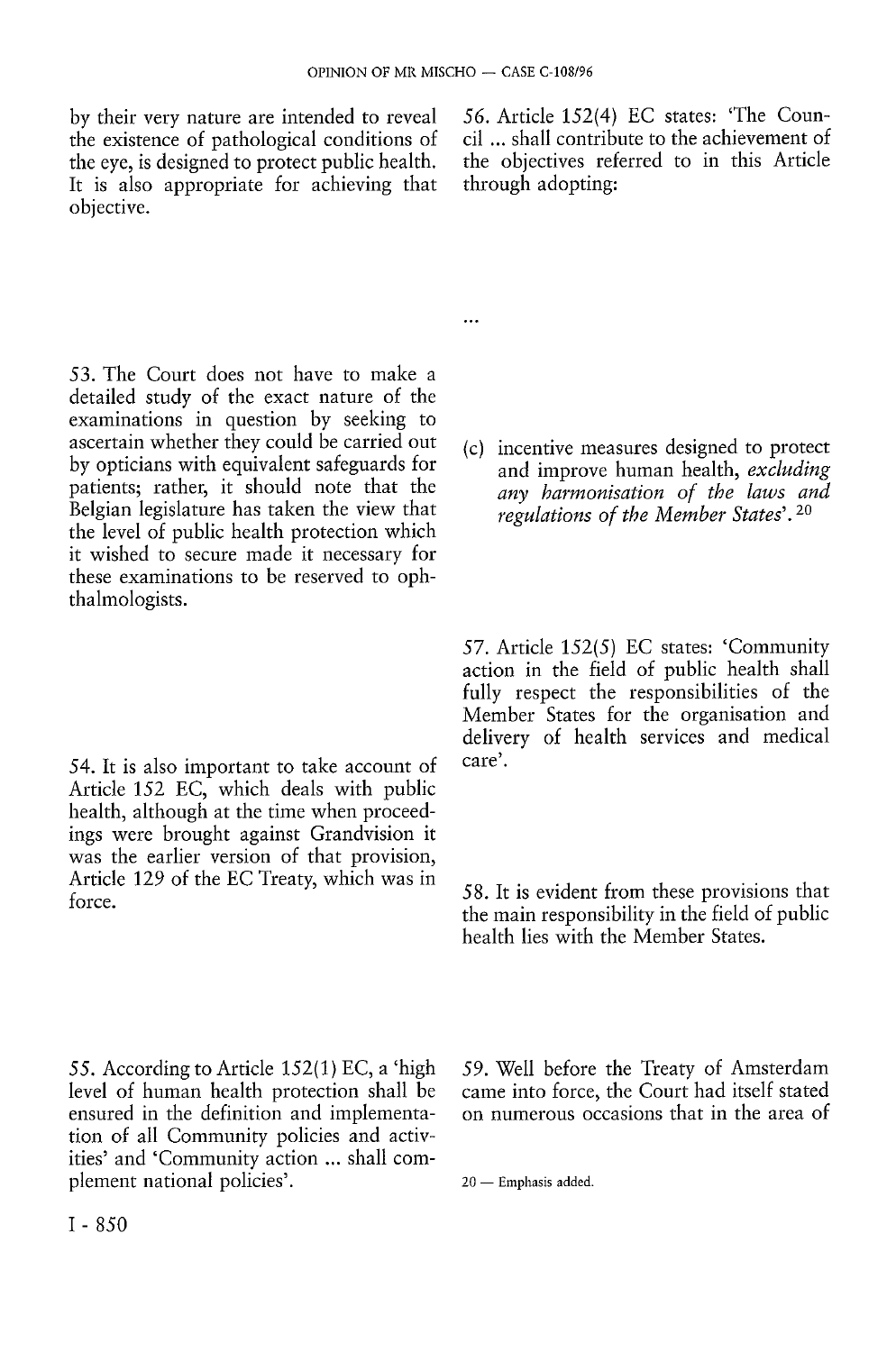$\ddotsc$ 

by their very nature are intended to reveal the existence of pathological conditions of the eye, is designed to protect public health. It is also appropriate for achieving that objective.

53. The Court does not have to make a detailed study of the exact nature of the examinations in question by seeking to ascertain whether they could be carried out by opticians with equivalent safeguards for patients; rather, it should note that the Belgian legislature has taken the view that the level of public health protection which it wished to secure made it necessary for these examinations to be reserved to ophthalmologists.

54. It is also important to take account of Article 152 EC, which deals with public health, although at the time when proceedings were brought against Grandvision it was the earlier version of that provision, Article 129 of the EC Treaty, which was in force.

*56.* Article 152(4) EC states: 'The Council ... shall contribute to the achievement of the objectives referred to in this Article through adopting:

(c) incentive measures designed to protect and improve human health, *excluding any harmonisation of the laws and regulations of the Member States'.<sup>20</sup>*

57. Article 152(5) EC states: 'Community action in the field of public health shall fully respect the responsibilities of the Member States for the organisation and delivery of health services and medical care'.

58. It is evident from these provisions that the main responsibility in the field of public health lies with the Member States.

55. According to Article 152(1) EC, a 'high level of human health protection shall be ensured in the definition and implementation of all Community policies and activities' and 'Community action ... shall complement national policies'.

59. Well before the Treaty of Amsterdam came into force, the Court had itself stated on numerous occasions that in the area of

20 — Emphasis added.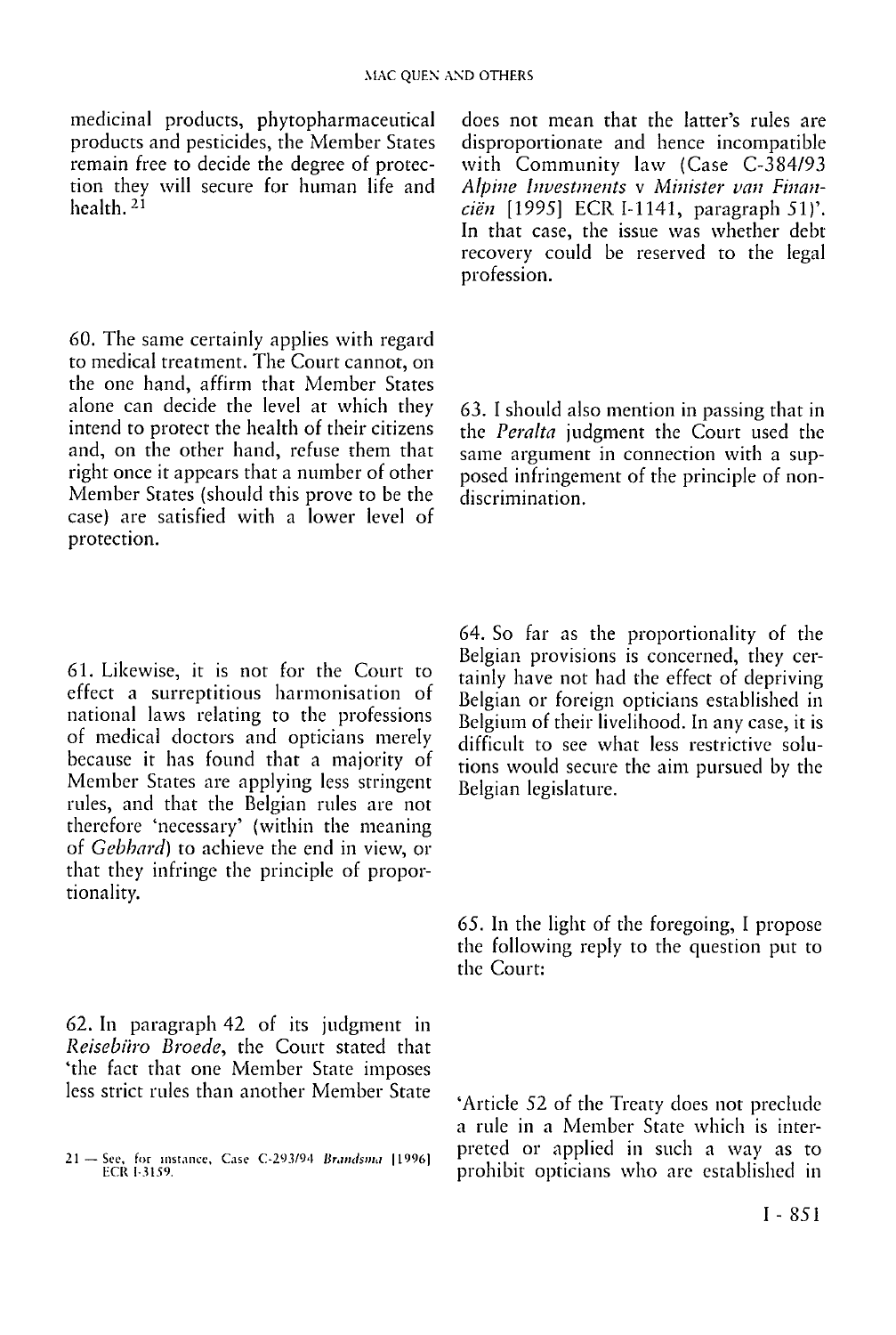medicinal products, phytopharmaceutical products and pesticides, the Member States remain free to decide the degree of protection they will secure for human life and health. <sup>21</sup>

60. The same certainly applies with regard to medical treatment. The Court cannot, on the one hand, affirm that Member States alone can decide the level at which they intend to protect the health of their citizens and, on the other hand, refuse them that right once it appears that a number of other Member States (should this prove to be the case) are satisfied with a lower level of protection.

61. Likewise, it is not for the Court to effect a surreptitious harmonisation of national laws relating to the professions of medical doctors and opticians merely because it has found that a majority of Member States are applying less stringent rules, and that the Belgian rules are not therefore 'necessary' (within the meaning of *Gabhard)* to achieve the end in view, or that they infringe the principle of proportionality.

62. In paragraph 42 of its judgment in *Reisebüro Broede,* the Court stated that 'the fact that one Member State imposes less strict rules than another Member State does not mean that the latter's rules are disproportionate and hence incompatible with Community law (Case C-384/93 *Alpine Investments* v *Minister van Financiën* [1995] ECR I-1141, paragraph 51)'. In that case, the issue was whether debt recovery could be reserved to the legal profession.

*63.* I should also mention in passing that in the *Peralta* judgment the Court used the same argument in connection with a supposed infringement of the principle of nondiscrimination.

64. So far as the proportionality of the Belgian provisions is concerned, they certainly have not had the effect of depriving Belgian or foreign opticians established in Belgium of their livelihood. In any case, it is difficult to see what less restrictive solutions would secure the aim pursued by the Belgian legislature.

65. In the light of the foregoing, I propose the following reply to the question put to the Court:

'Article 52 of the Treaty does not preclude a rule in a Member State which is interpreted or applied in such a way as to prohibit opticians who are established in

<sup>21—</sup>See, for instance. Case C-293/94 *Brandsma* (1996) ECK I-3159.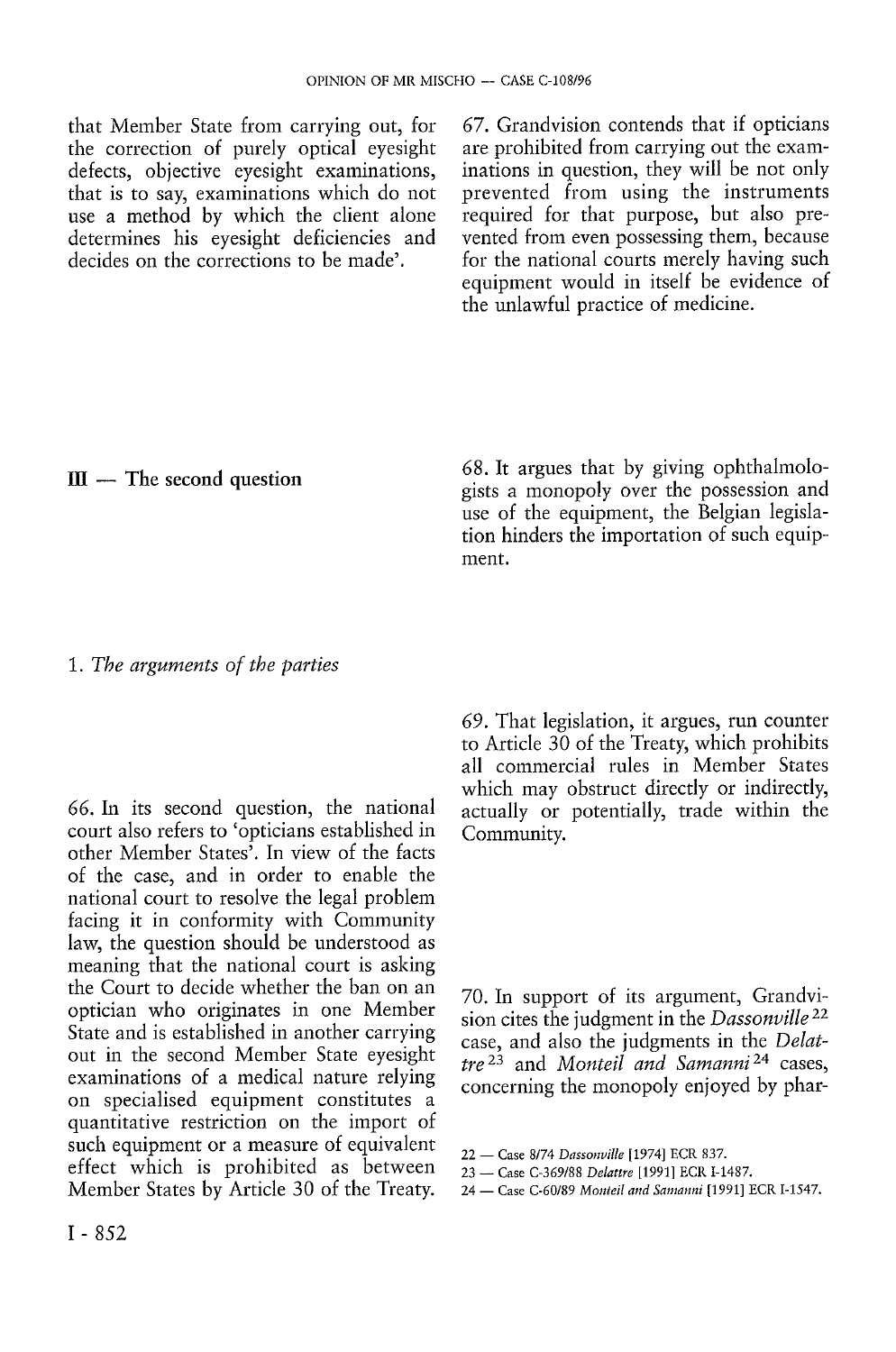that Member State from carrying out, for the correction of purely optical eyesight defects, objective eyesight examinations, that is to say, examinations which do not use a method by which the client alone determines his eyesight deficiencies and decides on the corrections to be made'.

*67.* Grandvision contends that if opticians are prohibited from carrying out the examinations in question, they will be not only prevented from using the instruments required for that purpose, but also prevented from even possessing them, because for the national courts merely having such equipment would in itself be evidence of the unlawful practice of medicine.

#### III — The second question

68. It argues that by giving ophthalmologists a monopoly over the possession and use of the equipment, the Belgian legislation hinders the importation of such equipment.

## 1. *The arguments of the parties*

*66.* In its second question, the national court also refers to 'opticians established in other Member States'. In view of the facts of the case, and in order to enable the national court to resolve the legal problem facing it in conformity with Community law, the question should be understood as meaning that the national court is asking the Court to decide whether the ban on an optician who originates in one Member State and is established in another carrying out in the second Member State eyesight examinations of a medical nature relying on specialised equipment constitutes a quantitative restriction on the import of such equipment or a measure of equivalent effect which is prohibited as between Member States by Article 30 of the Treaty.

*69.* That legislation, it argues, run counter to Article 30 of the Treaty, which prohibits all commercial rules in Member States which may obstruct directly or indirectly, actually or potentially, trade within the Community.

70. In support of its argument, Grandvision cites the judgment in the *Dassonville<sup>22</sup>* case, and also the judgments in the *Delattre<sup>23</sup>* and *Monteil and Samanni<sup>24</sup>* cases, concerning the monopoly enjoyed by phar-

<sup>22 —</sup> Case 8/74 *Dassonville* [1974] ECR 837.

<sup>23 —</sup> Case C-369/88 *Delattre* [1991] ECR I-1487.

<sup>24 —</sup> Case C-60/89 *Monteil and Samanni* [1991] ECR I-1547.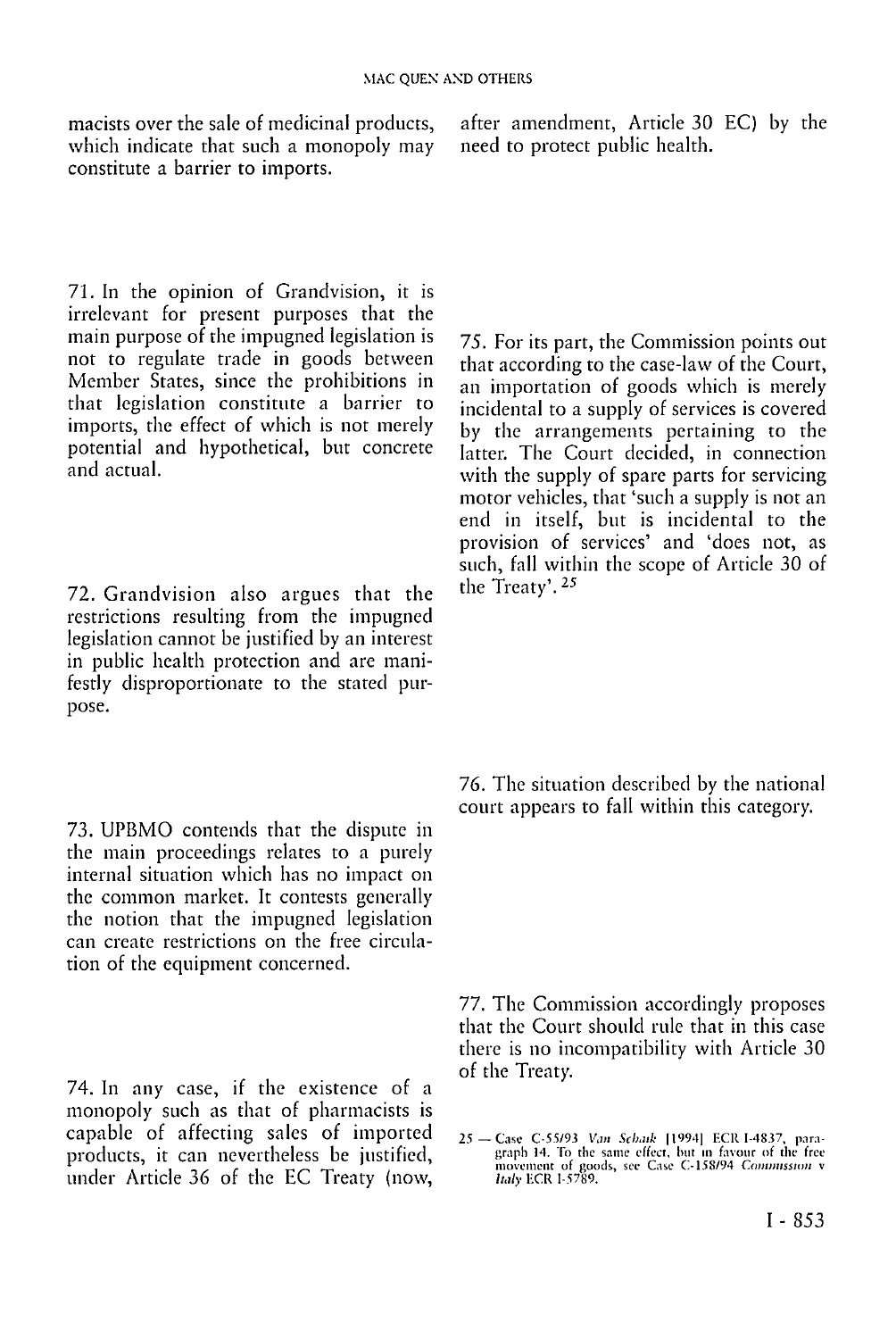macists over the sale of medicinal products, which indicate that such a monopoly may constitute a barrier to imports.

after amendment, Article 30 EC) by the need to protect public health.

71. In the opinion of Grandvision, it is irrelevant for present purposes that the main purpose of the impugned legislation is not to regulate trade in goods between Member States, since the prohibitions in that legislation constitute a barrier to imports, the effect of which is not merely potential and hypothetical, but concrete and actual.

72. Grandvision also argues that the restrictions resulting from the impugned legislation cannot be justified by an interest in public health protection and are manifestly disproportionate to the stated purpose.

73. UPBMO contends that the dispute in the main proceedings relates to a purely internal situation which has no impact on the common market. It contests generally the notion that the impugned legislation can create restrictions on the free circulation of the equipment concerned.

74. In any case, if the existence of a monopoly such as that of pharmacists is capable of affecting sales of imported products, it can nevertheless be justified, under Article 36 of the EC Treaty (now,

75. For its part, the Commission points out that according to the case-law of the Court, an importation of goods which is merely incidental to a supply of services is covered by the arrangements pertaining to the latter. The Court decided, in connection with the supply of spare parts for servicing motor vehicles, that 'such a supply is not an end in itself, but is incidental to the provision of services' and 'does not, as such, fall within the scope of Article 30 of the Treaty'.<sup>25</sup>

76. The situation described by the national court appears to fall within this category.

77. The Commission accordingly proposes that the Court should rule that in this case there is no incompatibility with Article 30 of the Treaty.

<sup>25 -</sup> Case C-55/93 Van Schark [1994] ECR I-4837, paragraph 14. To the same effect, hut in favour of the free movement of goods, see Case C-158/94 *Commission* v *Italy* UCR 1-5789.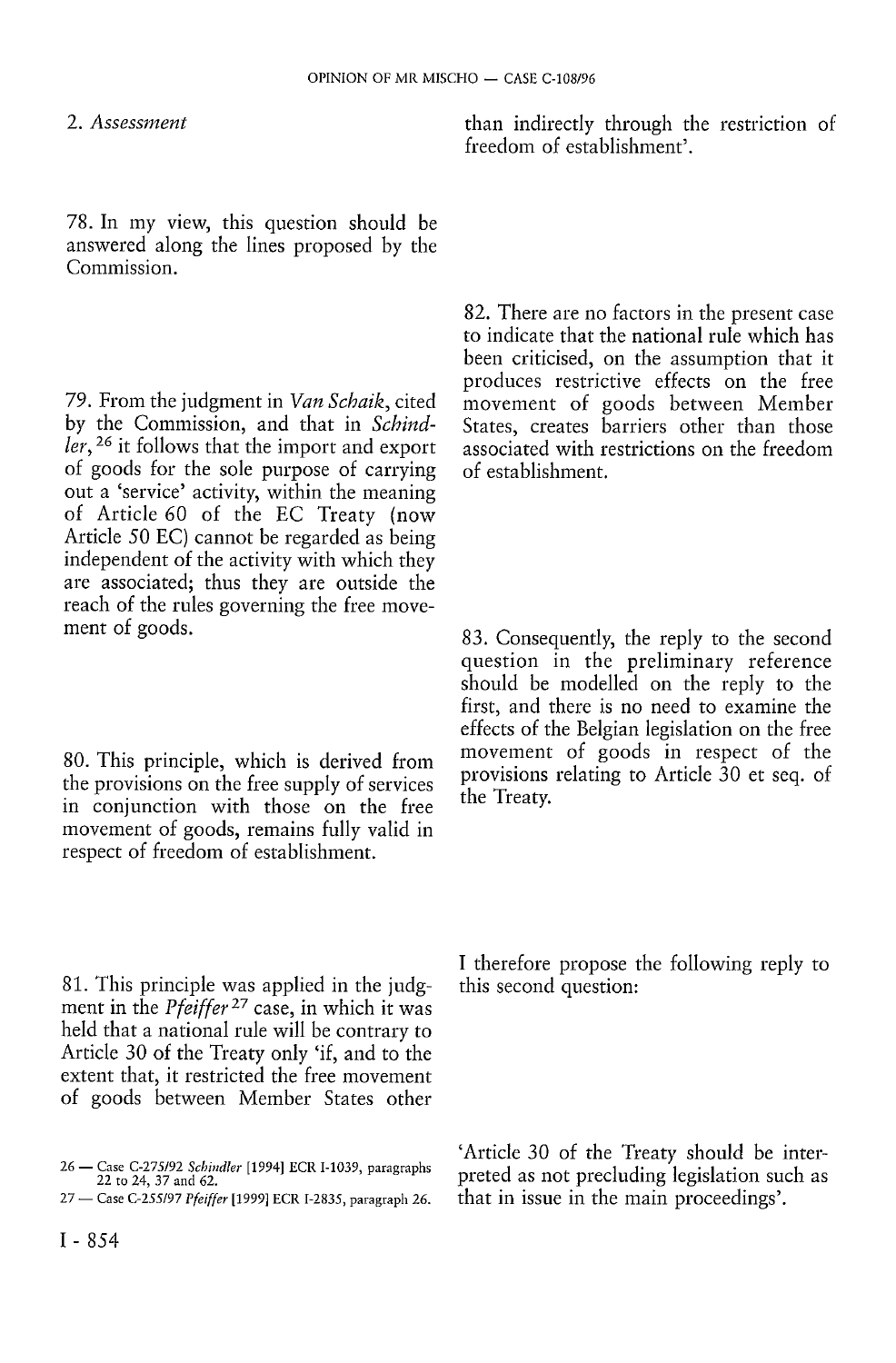2. *Assessment* 

78. In my view, this question should be answered along the lines proposed by the Commission.

79. From the judgment in *Van Scbaik,* cited by the Commission, and that in *Schindler,<sup>26</sup>* it follows that the import and export of goods for the sole purpose of carrying out a 'service' activity, within the meaning of Article 60 of the EC Treaty (now Article 50 EC) cannot be regarded as being independent of the activity with which they are associated; thus they are outside the reach of the rules governing the free movement of goods.

80. This principle, which is derived from the provisions on the free supply of services in conjunction with those on the free movement of goods, remains fully valid in respect of freedom of establishment.

81. This principle was applied in the judgment in the *Pfeiffer<sup>27</sup>* case, in which it was held that a national rule will be contrary to Article 30 of the Treaty only 'if, and to the extent that, it restricted the free movement of goods between Member States other than indirectly through the restriction of freedom of establishment'.

82. There are no factors in the present case to indicate that the national rule which has been criticised, on the assumption that it produces restrictive effects on the free movement of goods between Member States, creates barriers other than those associated with restrictions on the freedom of establishment.

83. Consequently, the reply to the second question in the preliminary reference should be modelled on the reply to the first, and there is no need to examine the effects of the Belgian legislation on the free movement of goods in respect of the provisions relating to Article 30 et seq. of the Treaty.

I therefore propose the following reply to this second question:

'Article 30 of the Treaty should be interpreted as not precluding legislation such as that in issue in the main proceedings'.

<sup>26 —</sup> Case C-275/92 *Schindler* [1994] ECR I-1039, paragraphs 22 to 24, 37 and 62.

<sup>27 —</sup> Case C-255/97 *Pfeiffer* [1999] ECR I-2835, paragraph 26.